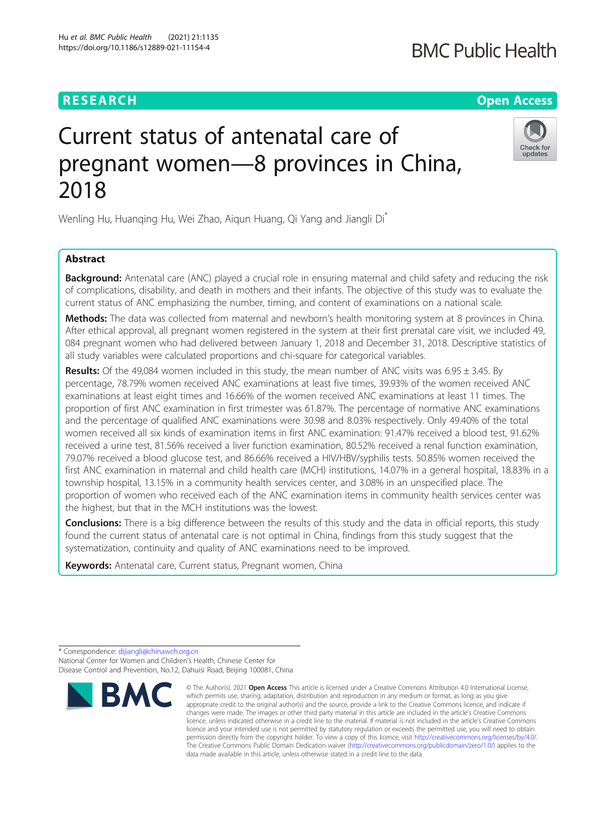## **RESEARCH CHINESE ARCH CHINESE ARCHITECT ARCHITECT ARCHITECT ARCHITECT ARCHITECT ARCHITECT ARCHITECT ARCHITECT ARCHITECT ARCHITECT ARCHITECT ARCHITECT ARCHITECT ARCHITECT ARCHITECT ARCHITECT ARCHITECT ARCHITECT ARCHITE**

# Current status of antenatal care of pregnant women—8 provinces in China, 2018

Wenling Hu, Huanqing Hu, Wei Zhao, Aiqun Huang, Qi Yang and Jiangli Di\*

## Abstract

**Background:** Antenatal care (ANC) played a crucial role in ensuring maternal and child safety and reducing the risk of complications, disability, and death in mothers and their infants. The objective of this study was to evaluate the current status of ANC emphasizing the number, timing, and content of examinations on a national scale.

Methods: The data was collected from maternal and newborn's health monitoring system at 8 provinces in China. After ethical approval, all pregnant women registered in the system at their first prenatal care visit, we included 49, 084 pregnant women who had delivered between January 1, 2018 and December 31, 2018. Descriptive statistics of all study variables were calculated proportions and chi-square for categorical variables.

**Results:** Of the 49,084 women included in this study, the mean number of ANC visits was  $6.95 \pm 3.45$ . By percentage, 78.79% women received ANC examinations at least five times, 39.93% of the women received ANC examinations at least eight times and 16.66% of the women received ANC examinations at least 11 times. The proportion of first ANC examination in first trimester was 61.87%. The percentage of normative ANC examinations and the percentage of qualified ANC examinations were 30.98 and 8.03% respectively. Only 49.40% of the total women received all six kinds of examination items in first ANC examination: 91.47% received a blood test, 91.62% received a urine test, 81.56% received a liver function examination, 80.52% received a renal function examination, 79.07% received a blood glucose test, and 86.66% received a HIV/HBV/syphilis tests. 50.85% women received the first ANC examination in maternal and child health care (MCH) institutions, 14.07% in a general hospital, 18.83% in a township hospital, 13.15% in a community health services center, and 3.08% in an unspecified place. The proportion of women who received each of the ANC examination items in community health services center was the highest, but that in the MCH institutions was the lowest.

**Conclusions:** There is a big difference between the results of this study and the data in official reports, this study found the current status of antenatal care is not optimal in China, findings from this study suggest that the systematization, continuity and quality of ANC examinations need to be improved.

Keywords: Antenatal care, Current status, Pregnant women, China









<sup>©</sup> The Author(s), 2021 **Open Access** This article is licensed under a Creative Commons Attribution 4.0 International License, which permits use, sharing, adaptation, distribution and reproduction in any medium or format, as long as you give appropriate credit to the original author(s) and the source, provide a link to the Creative Commons licence, and indicate if changes were made. The images or other third party material in this article are included in the article's Creative Commons licence, unless indicated otherwise in a credit line to the material. If material is not included in the article's Creative Commons licence and your intended use is not permitted by statutory regulation or exceeds the permitted use, you will need to obtain permission directly from the copyright holder. To view a copy of this licence, visit [http://creativecommons.org/licenses/by/4.0/.](http://creativecommons.org/licenses/by/4.0/) The Creative Commons Public Domain Dedication waiver [\(http://creativecommons.org/publicdomain/zero/1.0/](http://creativecommons.org/publicdomain/zero/1.0/)) applies to the data made available in this article, unless otherwise stated in a credit line to the data.

<sup>\*</sup> Correspondence: [dijiangli@chinawch.org.cn](mailto:dijiangli@chinawch.org.cn) National Center for Women and Children's Health, Chinese Center for Disease Control and Prevention, No.12, Dahuisi Road, Beijing 100081, China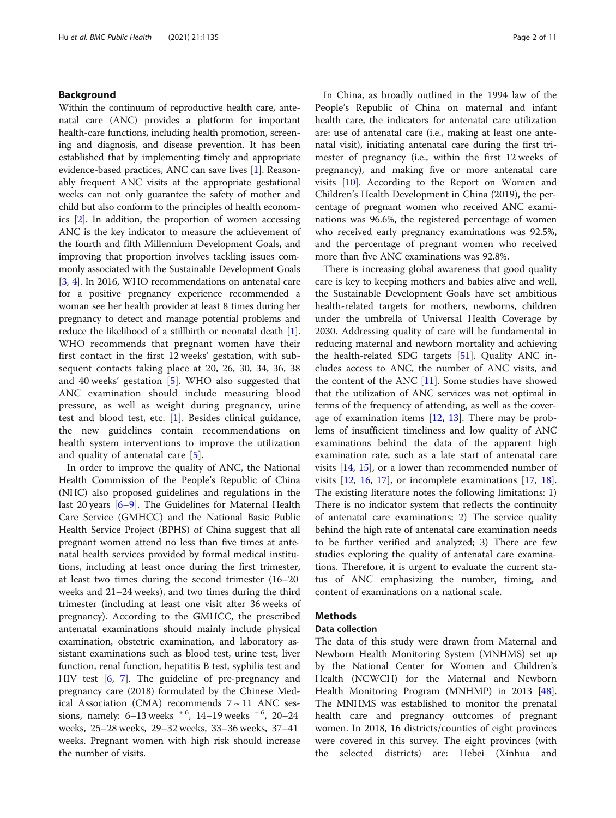## Background

Within the continuum of reproductive health care, antenatal care (ANC) provides a platform for important health-care functions, including health promotion, screening and diagnosis, and disease prevention. It has been established that by implementing timely and appropriate evidence-based practices, ANC can save lives [\[1](#page-9-0)]. Reasonably frequent ANC visits at the appropriate gestational weeks can not only guarantee the safety of mother and child but also conform to the principles of health economics [[2\]](#page-9-0). In addition, the proportion of women accessing ANC is the key indicator to measure the achievement of the fourth and fifth Millennium Development Goals, and improving that proportion involves tackling issues commonly associated with the Sustainable Development Goals [[3,](#page-9-0) [4](#page-9-0)]. In 2016, WHO recommendations on antenatal care for a positive pregnancy experience recommended a woman see her health provider at least 8 times during her pregnancy to detect and manage potential problems and reduce the likelihood of a stillbirth or neonatal death [[1](#page-9-0)]. WHO recommends that pregnant women have their first contact in the first 12 weeks' gestation, with subsequent contacts taking place at 20, 26, 30, 34, 36, 38 and 40 weeks' gestation [[5\]](#page-9-0). WHO also suggested that ANC examination should include measuring blood pressure, as well as weight during pregnancy, urine test and blood test, etc. [\[1](#page-9-0)]. Besides clinical guidance, the new guidelines contain recommendations on health system interventions to improve the utilization and quality of antenatal care [[5\]](#page-9-0).

In order to improve the quality of ANC, the National Health Commission of the People's Republic of China (NHC) also proposed guidelines and regulations in the last 20 years [[6](#page-9-0)–[9\]](#page-9-0). The Guidelines for Maternal Health Care Service (GMHCC) and the National Basic Public Health Service Project (BPHS) of China suggest that all pregnant women attend no less than five times at antenatal health services provided by formal medical institutions, including at least once during the first trimester, at least two times during the second trimester (16–20 weeks and 21–24 weeks), and two times during the third trimester (including at least one visit after 36 weeks of pregnancy). According to the GMHCC, the prescribed antenatal examinations should mainly include physical examination, obstetric examination, and laboratory assistant examinations such as blood test, urine test, liver function, renal function, hepatitis B test, syphilis test and HIV test [\[6](#page-9-0), [7](#page-9-0)]. The guideline of pre-pregnancy and pregnancy care (2018) formulated by the Chinese Medical Association (CMA) recommends  $7 \sim 11$  ANC sessions, namely:  $6-13$  weeks  $+6$ ,  $14-19$  weeks  $+6$ ,  $20-24$ weeks, 25–28 weeks, 29–32 weeks, 33–36 weeks, 37–41 weeks. Pregnant women with high risk should increase the number of visits.

In China, as broadly outlined in the 1994 law of the People's Republic of China on maternal and infant health care, the indicators for antenatal care utilization are: use of antenatal care (i.e., making at least one antenatal visit), initiating antenatal care during the first trimester of pregnancy (i.e., within the first 12 weeks of pregnancy), and making five or more antenatal care visits [[10\]](#page-9-0). According to the Report on Women and Children's Health Development in China (2019), the percentage of pregnant women who received ANC examinations was 96.6%, the registered percentage of women who received early pregnancy examinations was 92.5%, and the percentage of pregnant women who received more than five ANC examinations was 92.8%.

There is increasing global awareness that good quality care is key to keeping mothers and babies alive and well, the Sustainable Development Goals have set ambitious health-related targets for mothers, newborns, children under the umbrella of Universal Health Coverage by 2030. Addressing quality of care will be fundamental in reducing maternal and newborn mortality and achieving the health-related SDG targets [\[51\]](#page-10-0). Quality ANC includes access to ANC, the number of ANC visits, and the content of the ANC [\[11\]](#page-9-0). Some studies have showed that the utilization of ANC services was not optimal in terms of the frequency of attending, as well as the coverage of examination items  $[12, 13]$  $[12, 13]$  $[12, 13]$  $[12, 13]$ . There may be problems of insufficient timeliness and low quality of ANC examinations behind the data of the apparent high examination rate, such as a late start of antenatal care visits [[14](#page-9-0), [15\]](#page-9-0), or a lower than recommended number of visits  $[12, 16, 17]$  $[12, 16, 17]$  $[12, 16, 17]$  $[12, 16, 17]$  $[12, 16, 17]$  $[12, 16, 17]$ , or incomplete examinations  $[17, 18]$  $[17, 18]$  $[17, 18]$  $[17, 18]$ . The existing literature notes the following limitations: 1) There is no indicator system that reflects the continuity of antenatal care examinations; 2) The service quality behind the high rate of antenatal care examination needs to be further verified and analyzed; 3) There are few studies exploring the quality of antenatal care examinations. Therefore, it is urgent to evaluate the current status of ANC emphasizing the number, timing, and content of examinations on a national scale.

## Methods

## Data collection

The data of this study were drawn from Maternal and Newborn Health Monitoring System (MNHMS) set up by the National Center for Women and Children's Health (NCWCH) for the Maternal and Newborn Health Monitoring Program (MNHMP) in 2013 [\[48](#page-10-0)]. The MNHMS was established to monitor the prenatal health care and pregnancy outcomes of pregnant women. In 2018, 16 districts/counties of eight provinces were covered in this survey. The eight provinces (with the selected districts) are: Hebei (Xinhua and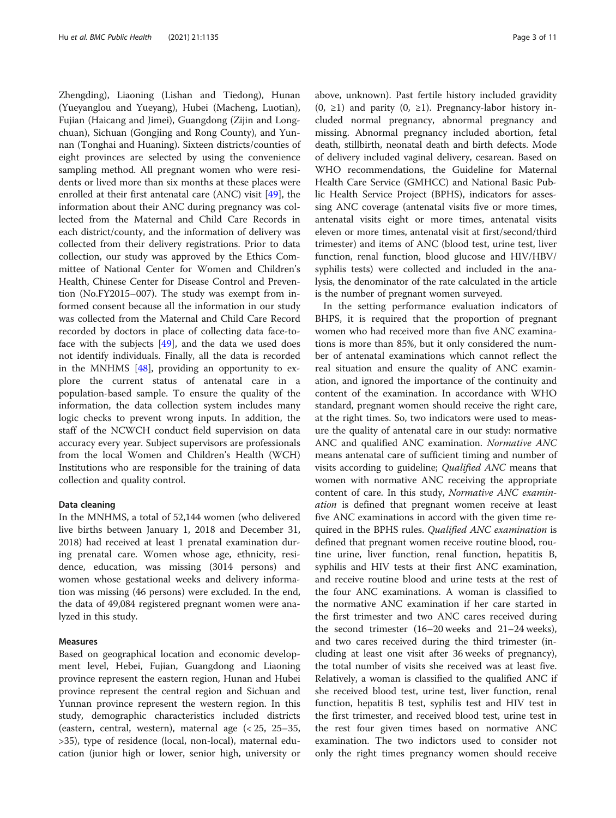Zhengding), Liaoning (Lishan and Tiedong), Hunan (Yueyanglou and Yueyang), Hubei (Macheng, Luotian), Fujian (Haicang and Jimei), Guangdong (Zijin and Longchuan), Sichuan (Gongjing and Rong County), and Yunnan (Tonghai and Huaning). Sixteen districts/counties of eight provinces are selected by using the convenience sampling method. All pregnant women who were residents or lived more than six months at these places were enrolled at their first antenatal care (ANC) visit [\[49](#page-10-0)], the information about their ANC during pregnancy was collected from the Maternal and Child Care Records in each district/county, and the information of delivery was collected from their delivery registrations. Prior to data collection, our study was approved by the Ethics Committee of National Center for Women and Children's Health, Chinese Center for Disease Control and Prevention (No.FY2015–007). The study was exempt from informed consent because all the information in our study was collected from the Maternal and Child Care Record recorded by doctors in place of collecting data face-toface with the subjects [\[49\]](#page-10-0), and the data we used does not identify individuals. Finally, all the data is recorded in the MNHMS [\[48](#page-10-0)], providing an opportunity to explore the current status of antenatal care in a population-based sample. To ensure the quality of the information, the data collection system includes many logic checks to prevent wrong inputs. In addition, the staff of the NCWCH conduct field supervision on data accuracy every year. Subject supervisors are professionals from the local Women and Children's Health (WCH) Institutions who are responsible for the training of data collection and quality control.

#### Data cleaning

In the MNHMS, a total of 52,144 women (who delivered live births between January 1, 2018 and December 31, 2018) had received at least 1 prenatal examination during prenatal care. Women whose age, ethnicity, residence, education, was missing (3014 persons) and women whose gestational weeks and delivery information was missing (46 persons) were excluded. In the end, the data of 49,084 registered pregnant women were analyzed in this study.

### Measures

Based on geographical location and economic development level, Hebei, Fujian, Guangdong and Liaoning province represent the eastern region, Hunan and Hubei province represent the central region and Sichuan and Yunnan province represent the western region. In this study, demographic characteristics included districts (eastern, central, western), maternal age (< 25, 25–35, >35), type of residence (local, non-local), maternal education (junior high or lower, senior high, university or above, unknown). Past fertile history included gravidity  $(0, ≥1)$  and parity  $(0, ≥1)$ . Pregnancy-labor history included normal pregnancy, abnormal pregnancy and missing. Abnormal pregnancy included abortion, fetal death, stillbirth, neonatal death and birth defects. Mode of delivery included vaginal delivery, cesarean. Based on WHO recommendations, the Guideline for Maternal Health Care Service (GMHCC) and National Basic Public Health Service Project (BPHS), indicators for assessing ANC coverage (antenatal visits five or more times, antenatal visits eight or more times, antenatal visits eleven or more times, antenatal visit at first/second/third trimester) and items of ANC (blood test, urine test, liver function, renal function, blood glucose and HIV/HBV/ syphilis tests) were collected and included in the analysis, the denominator of the rate calculated in the article is the number of pregnant women surveyed.

In the setting performance evaluation indicators of BHPS, it is required that the proportion of pregnant women who had received more than five ANC examinations is more than 85%, but it only considered the number of antenatal examinations which cannot reflect the real situation and ensure the quality of ANC examination, and ignored the importance of the continuity and content of the examination. In accordance with WHO standard, pregnant women should receive the right care, at the right times. So, two indicators were used to measure the quality of antenatal care in our study: normative ANC and qualified ANC examination. Normative ANC means antenatal care of sufficient timing and number of visits according to guideline; Qualified ANC means that women with normative ANC receiving the appropriate content of care. In this study, Normative ANC examination is defined that pregnant women receive at least five ANC examinations in accord with the given time required in the BPHS rules. Qualified ANC examination is defined that pregnant women receive routine blood, routine urine, liver function, renal function, hepatitis B, syphilis and HIV tests at their first ANC examination, and receive routine blood and urine tests at the rest of the four ANC examinations. A woman is classified to the normative ANC examination if her care started in the first trimester and two ANC cares received during the second trimester (16–20 weeks and 21–24 weeks), and two cares received during the third trimester (including at least one visit after 36 weeks of pregnancy), the total number of visits she received was at least five. Relatively, a woman is classified to the qualified ANC if she received blood test, urine test, liver function, renal function, hepatitis B test, syphilis test and HIV test in the first trimester, and received blood test, urine test in the rest four given times based on normative ANC examination. The two indictors used to consider not only the right times pregnancy women should receive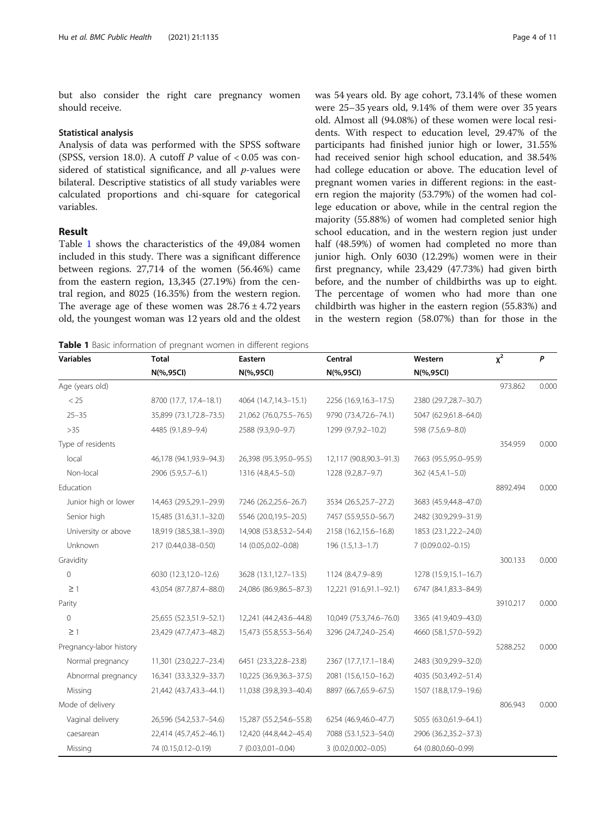but also consider the right care pregnancy women should receive.

#### Statistical analysis

Analysis of data was performed with the SPSS software (SPSS, version 18.0). A cutoff  $P$  value of < 0.05 was considered of statistical significance, and all  $p$ -values were bilateral. Descriptive statistics of all study variables were calculated proportions and chi-square for categorical variables.

## Result

Table 1 shows the characteristics of the 49,084 women included in this study. There was a significant difference between regions. 27,714 of the women (56.46%) came from the eastern region, 13,345 (27.19%) from the central region, and 8025 (16.35%) from the western region. The average age of these women was  $28.76 \pm 4.72$  years old, the youngest woman was 12 years old and the oldest

|  |  |  |  | <b>Table 1</b> Basic information of pregnant women in different regions |  |  |  |  |
|--|--|--|--|-------------------------------------------------------------------------|--|--|--|--|
|--|--|--|--|-------------------------------------------------------------------------|--|--|--|--|

was 54 years old. By age cohort, 73.14% of these women were 25–35 years old, 9.14% of them were over 35 years old. Almost all (94.08%) of these women were local residents. With respect to education level, 29.47% of the participants had finished junior high or lower, 31.55% had received senior high school education, and 38.54% had college education or above. The education level of pregnant women varies in different regions: in the eastern region the majority (53.79%) of the women had college education or above, while in the central region the majority (55.88%) of women had completed senior high school education, and in the western region just under half (48.59%) of women had completed no more than junior high. Only 6030 (12.29%) women were in their first pregnancy, while 23,429 (47.73%) had given birth before, and the number of childbirths was up to eight. The percentage of women who had more than one childbirth was higher in the eastern region (55.83%) and in the western region (58.07%) than for those in the

| <b>Variables</b>        | <b>Total</b>            | Eastern                  | Central                 | Western               | $x^2$    | $\mathsf{P}$ |
|-------------------------|-------------------------|--------------------------|-------------------------|-----------------------|----------|--------------|
|                         | N(%,95Cl)               | N(%,95Cl)                | N(%,95Cl)               | N(%,95Cl)             |          |              |
| Age (years old)         |                         |                          |                         |                       | 973.862  | 0.000        |
| < 25                    | 8700 (17.7, 17.4-18.1)  | 4064 (14.7, 14.3 - 15.1) | 2256 (16.9,16.3-17.5)   | 2380 (29.7,28.7-30.7) |          |              |
| $25 - 35$               | 35,899 (73.1,72.8-73.5) | 21,062 (76.0,75.5-76.5)  | 9790 (73.4,72.6-74.1)   | 5047 (62.9,61.8-64.0) |          |              |
| $>35$                   | 4485 (9.1,8.9-9.4)      | 2588 (9.3,9.0-9.7)       | 1299 (9.7,9.2-10.2)     | 598 (7.5,6.9-8.0)     |          |              |
| Type of residents       |                         |                          |                         |                       | 354.959  | 0.000        |
| local                   | 46,178 (94.1,93.9-94.3) | 26,398 (95.3,95.0-95.5)  | 12,117 (90.8,90.3-91.3) | 7663 (95.5,95.0-95.9) |          |              |
| Non-local               | 2906 (5.9,5.7-6.1)      | 1316 (4.8,4.5-5.0)       | 1228 (9.2,8.7-9.7)      | 362 (4.5,4.1-5.0)     |          |              |
| Education               |                         |                          |                         |                       | 8892.494 | 0.000        |
| Junior high or lower    | 14,463 (29.5,29.1-29.9) | 7246 (26.2,25.6-26.7)    | 3534 (26.5,25.7-27.2)   | 3683 (45.9,44.8-47.0) |          |              |
| Senior high             | 15,485 (31.6,31.1-32.0) | 5546 (20.0,19.5-20.5)    | 7457 (55.9,55.0-56.7)   | 2482 (30.9,29.9-31.9) |          |              |
| University or above     | 18,919 (38.5,38.1-39.0) | 14,908 (53.8,53.2-54.4)  | 2158 (16.2,15.6-16.8)   | 1853 (23.1,22.2-24.0) |          |              |
| Unknown                 | 217 (0.44,0.38-0.50)    | 14 (0.05,0.02-0.08)      | $196(1.5, 1.3 - 1.7)$   | 7 (0.09.0.02-0.15)    |          |              |
| Gravidity               |                         |                          |                         |                       | 300.133  | 0.000        |
| 0                       | 6030 (12.3,12.0-12.6)   | 3628 (13.1,12.7-13.5)    | 1124 (8.4,7.9-8.9)      | 1278 (15.9,15.1-16.7) |          |              |
| $\geq$ 1                | 43,054 (87.7,87.4-88.0) | 24,086 (86.9,86.5-87.3)  | 12,221 (91.6,91.1-92.1) | 6747 (84.1,83.3-84.9) |          |              |
| Parity                  |                         |                          |                         |                       | 3910.217 | 0.000        |
| $\mathbf 0$             | 25,655 (52.3,51.9-52.1) | 12,241 (44.2,43.6-44.8)  | 10,049 (75.3,74.6-76.0) | 3365 (41.9,40.9-43.0) |          |              |
| $\geq$ 1                | 23,429 (47.7,47.3-48.2) | 15,473 (55.8,55.3-56.4)  | 3296 (24.7,24.0-25.4)   | 4660 (58.1,57.0-59.2) |          |              |
| Pregnancy-labor history |                         |                          |                         |                       | 5288.252 | 0.000        |
| Normal pregnancy        | 11,301 (23.0,22.7-23.4) | 6451 (23.3,22.8-23.8)    | 2367 (17.7,17.1-18.4)   | 2483 (30.9,29.9-32.0) |          |              |
| Abnormal pregnancy      | 16,341 (33.3,32.9-33.7) | 10,225 (36.9,36.3-37.5)  | 2081 (15.6,15.0-16.2)   | 4035 (50.3,49.2-51.4) |          |              |
| Missing                 | 21,442 (43.7,43.3-44.1) | 11,038 (39.8,39.3-40.4)  | 8897 (66.7,65.9-67.5)   | 1507 (18.8,17.9-19.6) |          |              |
| Mode of delivery        |                         |                          |                         |                       | 806.943  | 0.000        |
| Vaginal delivery        | 26,596 (54.2,53.7-54.6) | 15,287 (55.2,54.6-55.8)  | 6254 (46.9,46.0-47.7)   | 5055 (63.0,61.9-64.1) |          |              |
| caesarean               | 22,414 (45.7,45.2-46.1) | 12,420 (44.8,44.2-45.4)  | 7088 (53.1,52.3-54.0)   | 2906 (36.2,35.2-37.3) |          |              |
| Missing                 | 74 (0.15,0.12-0.19)     | 7 (0.03,0.01-0.04)       | $3(0.02, 0.002 - 0.05)$ | 64 (0.80,0.60-0.99)   |          |              |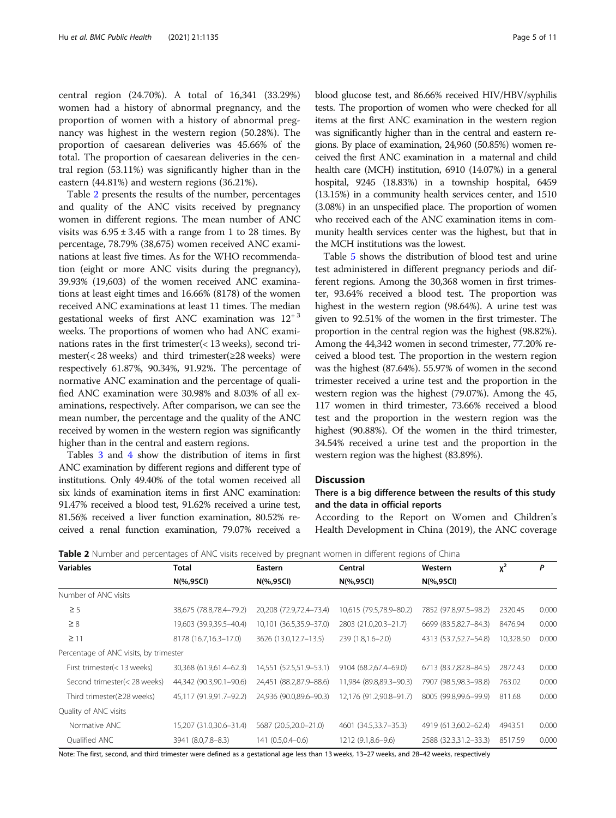central region (24.70%). A total of 16,341 (33.29%) women had a history of abnormal pregnancy, and the proportion of women with a history of abnormal pregnancy was highest in the western region (50.28%). The proportion of caesarean deliveries was 45.66% of the total. The proportion of caesarean deliveries in the central region (53.11%) was significantly higher than in the eastern (44.81%) and western regions (36.21%).

Table 2 presents the results of the number, percentages and quality of the ANC visits received by pregnancy women in different regions. The mean number of ANC visits was  $6.95 \pm 3.45$  with a range from 1 to 28 times. By percentage, 78.79% (38,675) women received ANC examinations at least five times. As for the WHO recommendation (eight or more ANC visits during the pregnancy), 39.93% (19,603) of the women received ANC examinations at least eight times and 16.66% (8178) of the women received ANC examinations at least 11 times. The median gestational weeks of first ANC examination was  $12^{+3}$ weeks. The proportions of women who had ANC examinations rates in the first trimester(< 13 weeks), second trimester(< 28 weeks) and third trimester(≥28 weeks) were respectively 61.87%, 90.34%, 91.92%. The percentage of normative ANC examination and the percentage of qualified ANC examination were 30.98% and 8.03% of all examinations, respectively. After comparison, we can see the mean number, the percentage and the quality of the ANC received by women in the western region was significantly higher than in the central and eastern regions.

Tables [3](#page-5-0) and [4](#page-5-0) show the distribution of items in first ANC examination by different regions and different type of institutions. Only 49.40% of the total women received all six kinds of examination items in first ANC examination: 91.47% received a blood test, 91.62% received a urine test, 81.56% received a liver function examination, 80.52% received a renal function examination, 79.07% received a blood glucose test, and 86.66% received HIV/HBV/syphilis tests. The proportion of women who were checked for all items at the first ANC examination in the western region was significantly higher than in the central and eastern regions. By place of examination, 24,960 (50.85%) women received the first ANC examination in a maternal and child health care (MCH) institution, 6910 (14.07%) in a general hospital, 9245 (18.83%) in a township hospital, 6459 (13.15%) in a community health services center, and 1510 (3.08%) in an unspecified place. The proportion of women who received each of the ANC examination items in community health services center was the highest, but that in the MCH institutions was the lowest.

Table [5](#page-6-0) shows the distribution of blood test and urine test administered in different pregnancy periods and different regions. Among the 30,368 women in first trimester, 93.64% received a blood test. The proportion was highest in the western region (98.64%). A urine test was given to 92.51% of the women in the first trimester. The proportion in the central region was the highest (98.82%). Among the 44,342 women in second trimester, 77.20% received a blood test. The proportion in the western region was the highest (87.64%). 55.97% of women in the second trimester received a urine test and the proportion in the western region was the highest (79.07%). Among the 45, 117 women in third trimester, 73.66% received a blood test and the proportion in the western region was the highest (90.88%). Of the women in the third trimester, 34.54% received a urine test and the proportion in the western region was the highest (83.89%).

## **Discussion**

## There is a big difference between the results of this study and the data in official reports

According to the Report on Women and Children's Health Development in China (2019), the ANC coverage

| <b>Variables</b>                       | Total                   | Eastern                 | Central                 | Western               | $x^2$     | P     |
|----------------------------------------|-------------------------|-------------------------|-------------------------|-----------------------|-----------|-------|
|                                        | N(%,95Cl)               | $N(\%95CI)$             | N(%,95Cl)               | $N(\%95CI)$           |           |       |
| Number of ANC visits                   |                         |                         |                         |                       |           |       |
| $\geq$ 5                               | 38,675 (78.8,78.4-79.2) | 20,208 (72.9,72.4-73.4) | 10,615 (79.5,78.9-80.2) | 7852 (97.8,97.5-98.2) | 2320.45   | 0.000 |
| $\geq 8$                               | 19,603 (39.9,39.5–40.4) | 10,101 (36.5,35.9-37.0) | 2803 (21.0,20.3-21.7)   | 6699 (83.5,82.7-84.3) | 8476.94   | 0.000 |
| $\geq$ 11                              | 8178 (16.7,16.3-17.0)   | 3626 (13.0,12.7-13.5)   | $239(1.8, 1.6 - 2.0)$   | 4313 (53.7,52.7-54.8) | 10,328.50 | 0.000 |
| Percentage of ANC visits, by trimester |                         |                         |                         |                       |           |       |
| First trimester(< 13 weeks)            | 30,368 (61.9,61.4-62.3) | 14,551 (52.5,51.9-53.1) | 9104 (68.2,67.4-69.0)   | 6713 (83.7,82.8-84.5) | 2872.43   | 0.000 |
| Second trimester(< 28 weeks)           | 44,342 (90.3,90.1-90.6) | 24,451 (88.2,87.9-88.6) | 11,984 (89.8,89.3-90.3) | 7907 (98.5,98.3-98.8) | 763.02    | 0.000 |
| Third trimester(≥28 weeks)             | 45,117 (91.9,91.7-92.2) | 24,936 (90.0,89.6-90.3) | 12,176 (91.2,90.8-91.7) | 8005 (99.8,99.6-99.9) | 811.68    | 0.000 |
| Quality of ANC visits                  |                         |                         |                         |                       |           |       |
| Normative ANC                          | 15,207 (31.0,30.6-31.4) | 5687 (20.5,20.0-21.0)   | 4601 (34.5,33.7-35.3)   | 4919 (61.3,60.2-62.4) | 4943.51   | 0.000 |
| Qualified ANC                          | 3941 (8.0,7.8-8.3)      | 141 (0.5,0.4-0.6)       | 1212 (9.1,8.6-9.6)      | 2588 (32.3,31.2-33.3) | 8517.59   | 0.000 |

**Table 2** Number and percentages of ANC visits received by pregnant women in different regions of China

Note: The first, second, and third trimester were defined as a gestational age less than 13 weeks, 13–27 weeks, and 28–42 weeks, respectively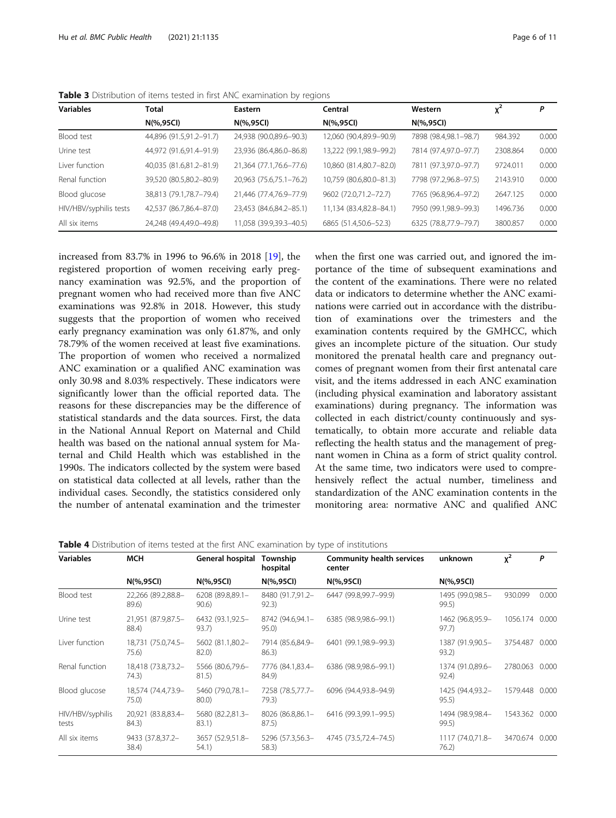| <b>Variables</b>       | <b>Total</b>            | Eastern                 | Central                 | Western               | χ <sup>2</sup> | P     |  |
|------------------------|-------------------------|-------------------------|-------------------------|-----------------------|----------------|-------|--|
|                        | N(%,95Cl)               | N(%,95Cl)               | N(%,95Cl)               | N(%,95Cl)             |                |       |  |
| Blood test             | 44,896 (91.5,91.2-91.7) | 24,938 (90.0,89.6-90.3) | 12,060 (90.4,89.9-90.9) | 7898 (98.4,98.1-98.7) | 984.392        | 0.000 |  |
| Urine test             | 44,972 (91.6,91.4-91.9) | 23,936 (86.4,86.0-86.8) | 13,222 (99.1,98.9-99.2) | 7814 (97.4,97.0-97.7) | 2308.864       | 0.000 |  |
| Liver function         | 40,035 (81.6,81.2-81.9) | 21,364 (77.1,76.6-77.6) | 10,860 (81.4,80.7-82.0) | 7811 (97.3,97.0-97.7) | 9724.011       | 0.000 |  |
| Renal function         | 39,520 (80.5,80.2-80.9) | 20,963 (75.6,75.1-76.2) | 10,759 (80.6,80.0-81.3) | 7798 (97.2,96.8-97.5) | 2143.910       | 0.000 |  |
| Blood glucose          | 38,813 (79.1,78.7-79.4) | 21,446 (77.4,76.9-77.9) | 9602 (72.0,71.2-72.7)   | 7765 (96.8,96.4-97.2) | 2647.125       | 0.000 |  |
| HIV/HBV/syphilis tests | 42,537 (86.7,86.4-87.0) | 23,453 (84.6,84.2-85.1) | 11,134 (83.4,82.8-84.1) | 7950 (99.1,98.9-99.3) | 1496.736       | 0.000 |  |
| All six items          | 24,248 (49.4,49.0-49.8) | 11,058 (39.9,39.3-40.5) | 6865 (51.4,50.6-52.3)   | 6325 (78.8,77.9-79.7) | 3800.857       | 0.000 |  |

<span id="page-5-0"></span>Table 3 Distribution of items tested in first ANC examination by regions

increased from 83.7% in 1996 to 96.6% in 2018 [\[19\]](#page-9-0), the registered proportion of women receiving early pregnancy examination was 92.5%, and the proportion of pregnant women who had received more than five ANC examinations was 92.8% in 2018. However, this study suggests that the proportion of women who received early pregnancy examination was only 61.87%, and only 78.79% of the women received at least five examinations. The proportion of women who received a normalized ANC examination or a qualified ANC examination was only 30.98 and 8.03% respectively. These indicators were significantly lower than the official reported data. The reasons for these discrepancies may be the difference of statistical standards and the data sources. First, the data in the National Annual Report on Maternal and Child health was based on the national annual system for Maternal and Child Health which was established in the 1990s. The indicators collected by the system were based on statistical data collected at all levels, rather than the individual cases. Secondly, the statistics considered only the number of antenatal examination and the trimester

when the first one was carried out, and ignored the importance of the time of subsequent examinations and the content of the examinations. There were no related data or indicators to determine whether the ANC examinations were carried out in accordance with the distribution of examinations over the trimesters and the examination contents required by the GMHCC, which gives an incomplete picture of the situation. Our study monitored the prenatal health care and pregnancy outcomes of pregnant women from their first antenatal care visit, and the items addressed in each ANC examination (including physical examination and laboratory assistant examinations) during pregnancy. The information was collected in each district/county continuously and systematically, to obtain more accurate and reliable data reflecting the health status and the management of pregnant women in China as a form of strict quality control. At the same time, two indicators were used to comprehensively reflect the actual number, timeliness and standardization of the ANC examination contents in the monitoring area: normative ANC and qualified ANC

| Table 4 Distribution of items tested at the first ANC examination by type of institutions |
|-------------------------------------------------------------------------------------------|
|-------------------------------------------------------------------------------------------|

| <b>Variables</b>          | <b>MCH</b>                  | General hospital          | Township<br>hospital      | <b>Community health services</b><br>center | unknown                   | $x^2$          | P     |
|---------------------------|-----------------------------|---------------------------|---------------------------|--------------------------------------------|---------------------------|----------------|-------|
|                           | $N(\%95CI)$                 | $N(\%95CI)$               | N(%,95Cl)                 | N(%,95Cl)                                  | N(%,95Cl)                 |                |       |
| Blood test                | 22,266 (89.2,88.8-<br>89.6) | 6208 (89.8,89.1-<br>90.6) | 8480 (91.7,91.2-<br>92.3) | 6447 (99.8,99.7-99.9)                      | 1495 (99.0,98.5-<br>99.5) | 930.099        | 0.000 |
| Urine test                | 21,951 (87.9,87.5-<br>88.4) | 6432 (93.1,92.5-<br>93.7) | 8742 (94.6,94.1-<br>95.0) | 6385 (98.9,98.6-99.1)                      | 1462 (96.8,95.9-<br>97.7) | 1056.174 0.000 |       |
| Liver function            | 18,731 (75.0,74.5-<br>75.6) | 5602 (81.1,80.2-<br>82.0) | 7914 (85.6,84.9-<br>86.3) | 6401 (99.1,98.9-99.3)                      | 1387 (91.9,90.5-<br>93.2) | 3754.487 0.000 |       |
| Renal function            | 18,418 (73.8,73.2-<br>74.3) | 5566 (80.6,79.6-<br>81.5) | 7776 (84.1.83.4-<br>84.9) | 6386 (98.9.98.6-99.1)                      | 1374 (91.0.89.6-<br>92.4) | 2780.063       | 0.000 |
| Blood glucose             | 18,574 (74.4,73.9-<br>75.0) | 5460 (79.0,78.1-<br>80.0) | 7258 (78.5,77.7-<br>79.3) | 6096 (94.4,93.8-94.9)                      | 1425 (94.4,93.2-<br>95.5) | 1579.448 0.000 |       |
| HIV/HBV/syphilis<br>tests | 20,921 (83.8,83.4-<br>84.3) | 5680 (82.2,81.3-<br>83.1) | 8026 (86.8,86.1-<br>87.5) | 6416 (99.3,99.1-99.5)                      | 1494 (98.9.98.4-<br>99.5) | 1543.362 0.000 |       |
| All six items             | 9433 (37.8,37.2-<br>38.4)   | 3657 (52.9,51.8-<br>54.1) | 5296 (57.3,56.3-<br>58.3) | 4745 (73.5,72.4–74.5)                      | 1117 (74.0,71.8-<br>76.2) | 3470.674       | 0.000 |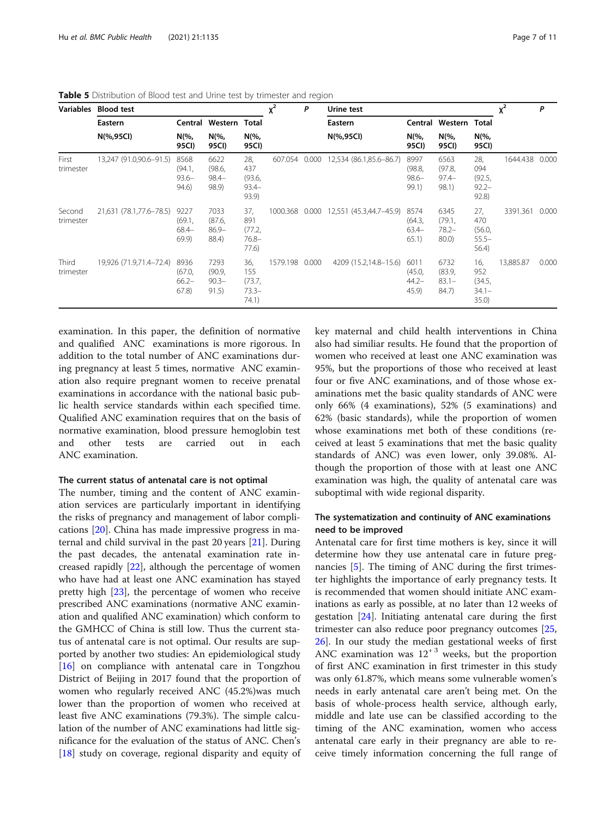|                     | Variables Blood test    |                                     |                                     |                                           | $x^2$          | P     | Urine test              |                                     |                                        |                                              | $x^2$          | P     |
|---------------------|-------------------------|-------------------------------------|-------------------------------------|-------------------------------------------|----------------|-------|-------------------------|-------------------------------------|----------------------------------------|----------------------------------------------|----------------|-------|
|                     | Eastern                 | Central                             | Western Total                       |                                           |                |       | Eastern                 |                                     | Central Western Total                  |                                              |                |       |
|                     | N(%,95CI)               | $N\frac{6}{6}$<br>95CI)             | $N\frac{6}{6}$<br>95CI)             | $N\frac{6}{6}$<br>95CI)                   |                |       | $N(\%95CI)$             | $N\frac{6}{6}$<br>95CI)             | N(%,<br>95CI)                          | N(%,<br>95CI)                                |                |       |
| First<br>trimester  | 13,247 (91.0,90.6-91.5) | 8568<br>(94.1,<br>$93.6 -$<br>94.6) | 6622<br>(98.6,<br>$98.4 -$<br>98.9) | 28,<br>437<br>(93.6,<br>$93.4 -$<br>93.9) | 607.054        | 0.000 | 12,534 (86.1,85.6-86.7) | 8997<br>(98.8,<br>$98.6 -$<br>99.1) | 6563<br>(97.8,<br>$97.4 -$<br>98.1)    | 28,<br>094<br>(92.5,<br>$92.2 -$<br>$92.8$ ) | 1644.438 0.000 |       |
| Second<br>trimester | 21,631 (78.1,77.6-78.5) | 9227<br>(69.1,<br>$68.4-$<br>69.9   | 7033<br>(87.6,<br>$86.9 -$<br>88.4) | 37,<br>891<br>(77.2,<br>$76.8 -$<br>77.6) | 1000.368 0.000 |       | 12,551 (45.3,44.7-45.9) | 8574<br>(64.3,<br>$63.4-$<br>65.1)  | 6345<br>(79.1,<br>$78.2 -$<br>$80.0$ ) | 27,<br>470<br>(56.0,<br>$55.5-$<br>56.4)     | 3391.361 0.000 |       |
| Third<br>trimester  | 19,926 (71.9,71.4-72.4) | 8936<br>(67.0,<br>$66.2 -$<br>67.8  | 7293<br>(90.9,<br>$90.3 -$<br>91.5) | 36,<br>155<br>(73.7,<br>$73.3-$<br>74.1)  | 1579.198 0.000 |       | 4209 (15.2,14.8–15.6)   | 6011<br>(45.0,<br>$44.2 -$<br>45.9  | 6732<br>(83.9,<br>$83.1 -$<br>84.7)    | 16,<br>952<br>(34.5,<br>$34.1 -$<br>35.0)    | 13,885.87      | 0.000 |

<span id="page-6-0"></span>Table 5 Distribution of Blood test and Urine test by trimester and region

examination. In this paper, the definition of normative and qualified ANC examinations is more rigorous. In addition to the total number of ANC examinations during pregnancy at least 5 times, normative ANC examination also require pregnant women to receive prenatal examinations in accordance with the national basic public health service standards within each specified time. Qualified ANC examination requires that on the basis of normative examination, blood pressure hemoglobin test and other tests are carried out in each ANC examination.

## The current status of antenatal care is not optimal

The number, timing and the content of ANC examination services are particularly important in identifying the risks of pregnancy and management of labor complications [[20\]](#page-9-0). China has made impressive progress in maternal and child survival in the past 20 years [[21](#page-9-0)]. During the past decades, the antenatal examination rate increased rapidly [[22](#page-9-0)], although the percentage of women who have had at least one ANC examination has stayed pretty high [\[23\]](#page-9-0), the percentage of women who receive prescribed ANC examinations (normative ANC examination and qualified ANC examination) which conform to the GMHCC of China is still low. Thus the current status of antenatal care is not optimal. Our results are supported by another two studies: An epidemiological study  $[16]$  $[16]$  on compliance with antenatal care in Tongzhou District of Beijing in 2017 found that the proportion of women who regularly received ANC (45.2%)was much lower than the proportion of women who received at least five ANC examinations (79.3%). The simple calculation of the number of ANC examinations had little significance for the evaluation of the status of ANC. Chen's [[18\]](#page-9-0) study on coverage, regional disparity and equity of key maternal and child health interventions in China also had similiar results. He found that the proportion of women who received at least one ANC examination was 95%, but the proportions of those who received at least four or five ANC examinations, and of those whose examinations met the basic quality standards of ANC were only 66% (4 examinations), 52% (5 examinations) and 62% (basic standards), while the proportion of women whose examinations met both of these conditions (received at least 5 examinations that met the basic quality standards of ANC) was even lower, only 39.08%. Although the proportion of those with at least one ANC examination was high, the quality of antenatal care was suboptimal with wide regional disparity.

## The systematization and continuity of ANC examinations need to be improved

Antenatal care for first time mothers is key, since it will determine how they use antenatal care in future pregnancies [[5\]](#page-9-0). The timing of ANC during the first trimester highlights the importance of early pregnancy tests. It is recommended that women should initiate ANC examinations as early as possible, at no later than 12 weeks of gestation [\[24\]](#page-10-0). Initiating antenatal care during the first trimester can also reduce poor pregnancy outcomes [[25](#page-10-0), [26\]](#page-10-0). In our study the median gestational weeks of first ANC examination was  $12^{+3}$  weeks, but the proportion of first ANC examination in first trimester in this study was only 61.87%, which means some vulnerable women's needs in early antenatal care aren't being met. On the basis of whole-process health service, although early, middle and late use can be classified according to the timing of the ANC examination, women who access antenatal care early in their pregnancy are able to receive timely information concerning the full range of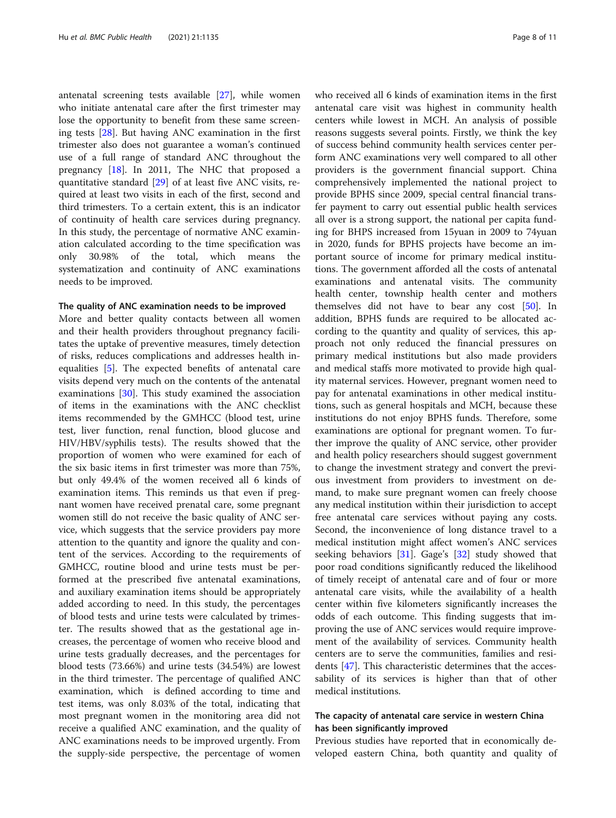antenatal screening tests available [\[27](#page-10-0)], while women who initiate antenatal care after the first trimester may lose the opportunity to benefit from these same screening tests [[28](#page-10-0)]. But having ANC examination in the first trimester also does not guarantee a woman's continued use of a full range of standard ANC throughout the pregnancy [[18\]](#page-9-0). In 2011, The NHC that proposed a quantitative standard [\[29](#page-10-0)] of at least five ANC visits, required at least two visits in each of the first, second and third trimesters. To a certain extent, this is an indicator of continuity of health care services during pregnancy. In this study, the percentage of normative ANC examination calculated according to the time specification was only 30.98% of the total, which means the systematization and continuity of ANC examinations needs to be improved.

#### The quality of ANC examination needs to be improved

More and better quality contacts between all women and their health providers throughout pregnancy facilitates the uptake of preventive measures, timely detection of risks, reduces complications and addresses health inequalities [\[5](#page-9-0)]. The expected benefits of antenatal care visits depend very much on the contents of the antenatal examinations [\[30\]](#page-10-0). This study examined the association of items in the examinations with the ANC checklist items recommended by the GMHCC (blood test, urine test, liver function, renal function, blood glucose and HIV/HBV/syphilis tests). The results showed that the proportion of women who were examined for each of the six basic items in first trimester was more than 75%, but only 49.4% of the women received all 6 kinds of examination items. This reminds us that even if pregnant women have received prenatal care, some pregnant women still do not receive the basic quality of ANC service, which suggests that the service providers pay more attention to the quantity and ignore the quality and content of the services. According to the requirements of GMHCC, routine blood and urine tests must be performed at the prescribed five antenatal examinations, and auxiliary examination items should be appropriately added according to need. In this study, the percentages of blood tests and urine tests were calculated by trimester. The results showed that as the gestational age increases, the percentage of women who receive blood and urine tests gradually decreases, and the percentages for blood tests (73.66%) and urine tests (34.54%) are lowest in the third trimester. The percentage of qualified ANC examination, which is defined according to time and test items, was only 8.03% of the total, indicating that most pregnant women in the monitoring area did not receive a qualified ANC examination, and the quality of ANC examinations needs to be improved urgently. From the supply-side perspective, the percentage of women

who received all 6 kinds of examination items in the first antenatal care visit was highest in community health centers while lowest in MCH. An analysis of possible reasons suggests several points. Firstly, we think the key of success behind community health services center perform ANC examinations very well compared to all other providers is the government financial support. China comprehensively implemented the national project to provide BPHS since 2009, special central financial transfer payment to carry out essential public health services all over is a strong support, the national per capita funding for BHPS increased from 15yuan in 2009 to 74yuan in 2020, funds for BPHS projects have become an important source of income for primary medical institutions. The government afforded all the costs of antenatal examinations and antenatal visits. The community health center, township health center and mothers themselves did not have to bear any cost [\[50\]](#page-10-0). In addition, BPHS funds are required to be allocated according to the quantity and quality of services, this approach not only reduced the financial pressures on primary medical institutions but also made providers and medical staffs more motivated to provide high quality maternal services. However, pregnant women need to pay for antenatal examinations in other medical institutions, such as general hospitals and MCH, because these institutions do not enjoy BPHS funds. Therefore, some examinations are optional for pregnant women. To further improve the quality of ANC service, other provider and health policy researchers should suggest government to change the investment strategy and convert the previous investment from providers to investment on demand, to make sure pregnant women can freely choose any medical institution within their jurisdiction to accept free antenatal care services without paying any costs. Second, the inconvenience of long distance travel to a medical institution might affect women's ANC services seeking behaviors [[31\]](#page-10-0). Gage's [[32\]](#page-10-0) study showed that poor road conditions significantly reduced the likelihood of timely receipt of antenatal care and of four or more antenatal care visits, while the availability of a health center within five kilometers significantly increases the odds of each outcome. This finding suggests that improving the use of ANC services would require improvement of the availability of services. Community health centers are to serve the communities, families and residents [[47\]](#page-10-0). This characteristic determines that the accessability of its services is higher than that of other medical institutions.

## The capacity of antenatal care service in western China has been significantly improved

Previous studies have reported that in economically developed eastern China, both quantity and quality of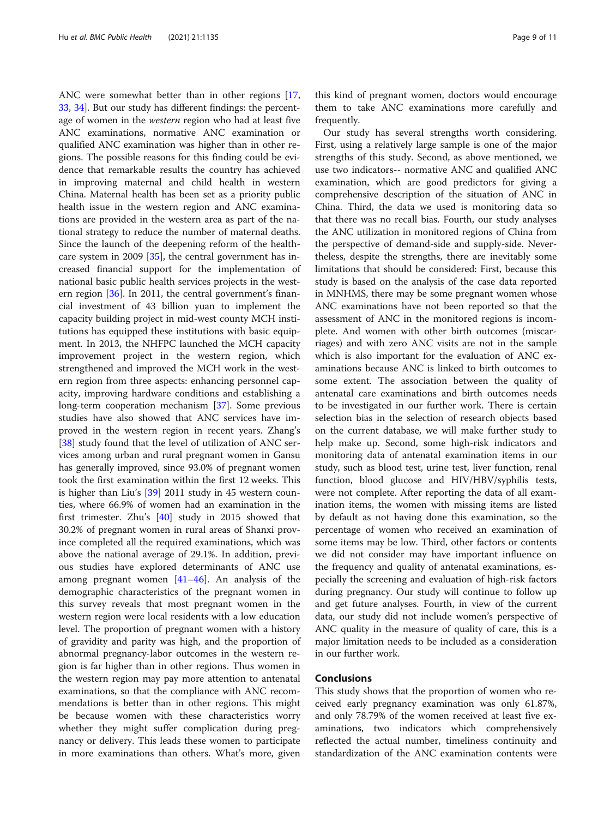ANC were somewhat better than in other regions [[17](#page-9-0), [33,](#page-10-0) [34](#page-10-0)]. But our study has different findings: the percentage of women in the western region who had at least five ANC examinations, normative ANC examination or qualified ANC examination was higher than in other regions. The possible reasons for this finding could be evidence that remarkable results the country has achieved in improving maternal and child health in western China. Maternal health has been set as a priority public health issue in the western region and ANC examinations are provided in the western area as part of the national strategy to reduce the number of maternal deaths. Since the launch of the deepening reform of the healthcare system in 2009 [[35](#page-10-0)], the central government has increased financial support for the implementation of national basic public health services projects in the western region [[36\]](#page-10-0). In 2011, the central government's financial investment of 43 billion yuan to implement the capacity building project in mid-west county MCH institutions has equipped these institutions with basic equipment. In 2013, the NHFPC launched the MCH capacity improvement project in the western region, which strengthened and improved the MCH work in the western region from three aspects: enhancing personnel capacity, improving hardware conditions and establishing a long-term cooperation mechanism [\[37](#page-10-0)]. Some previous studies have also showed that ANC services have improved in the western region in recent years. Zhang's [[38\]](#page-10-0) study found that the level of utilization of ANC services among urban and rural pregnant women in Gansu has generally improved, since 93.0% of pregnant women took the first examination within the first 12 weeks. This is higher than Liu's [[39\]](#page-10-0) 2011 study in 45 western counties, where 66.9% of women had an examination in the first trimester. Zhu's [[40\]](#page-10-0) study in 2015 showed that 30.2% of pregnant women in rural areas of Shanxi province completed all the required examinations, which was above the national average of 29.1%. In addition, previous studies have explored determinants of ANC use among pregnant women [[41](#page-10-0)–[46](#page-10-0)]. An analysis of the demographic characteristics of the pregnant women in this survey reveals that most pregnant women in the western region were local residents with a low education level. The proportion of pregnant women with a history of gravidity and parity was high, and the proportion of abnormal pregnancy-labor outcomes in the western region is far higher than in other regions. Thus women in the western region may pay more attention to antenatal examinations, so that the compliance with ANC recommendations is better than in other regions. This might be because women with these characteristics worry whether they might suffer complication during pregnancy or delivery. This leads these women to participate in more examinations than others. What's more, given

this kind of pregnant women, doctors would encourage them to take ANC examinations more carefully and frequently.

Our study has several strengths worth considering. First, using a relatively large sample is one of the major strengths of this study. Second, as above mentioned, we use two indicators-- normative ANC and qualified ANC examination, which are good predictors for giving a comprehensive description of the situation of ANC in China. Third, the data we used is monitoring data so that there was no recall bias. Fourth, our study analyses the ANC utilization in monitored regions of China from the perspective of demand-side and supply-side. Nevertheless, despite the strengths, there are inevitably some limitations that should be considered: First, because this study is based on the analysis of the case data reported in MNHMS, there may be some pregnant women whose ANC examinations have not been reported so that the assessment of ANC in the monitored regions is incomplete. And women with other birth outcomes (miscarriages) and with zero ANC visits are not in the sample which is also important for the evaluation of ANC examinations because ANC is linked to birth outcomes to some extent. The association between the quality of antenatal care examinations and birth outcomes needs to be investigated in our further work. There is certain selection bias in the selection of research objects based on the current database, we will make further study to help make up. Second, some high-risk indicators and monitoring data of antenatal examination items in our study, such as blood test, urine test, liver function, renal function, blood glucose and HIV/HBV/syphilis tests, were not complete. After reporting the data of all examination items, the women with missing items are listed by default as not having done this examination, so the percentage of women who received an examination of some items may be low. Third, other factors or contents we did not consider may have important influence on the frequency and quality of antenatal examinations, especially the screening and evaluation of high-risk factors during pregnancy. Our study will continue to follow up and get future analyses. Fourth, in view of the current data, our study did not include women's perspective of ANC quality in the measure of quality of care, this is a major limitation needs to be included as a consideration in our further work.

## Conclusions

This study shows that the proportion of women who received early pregnancy examination was only 61.87%, and only 78.79% of the women received at least five examinations, two indicators which comprehensively reflected the actual number, timeliness continuity and standardization of the ANC examination contents were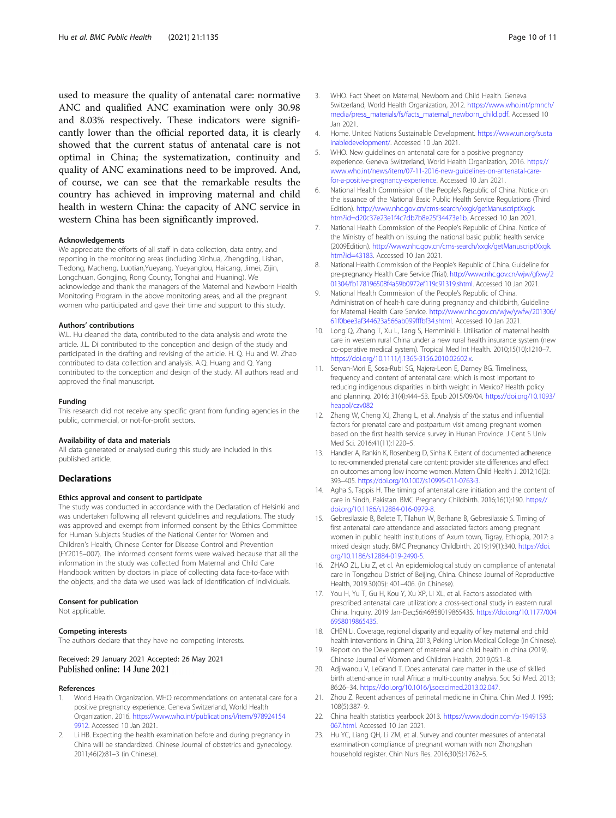<span id="page-9-0"></span>used to measure the quality of antenatal care: normative ANC and qualified ANC examination were only 30.98 and 8.03% respectively. These indicators were significantly lower than the official reported data, it is clearly showed that the current status of antenatal care is not optimal in China; the systematization, continuity and quality of ANC examinations need to be improved. And, of course, we can see that the remarkable results the country has achieved in improving maternal and child health in western China: the capacity of ANC service in western China has been significantly improved.

#### Acknowledgements

We appreciate the efforts of all staff in data collection, data entry, and reporting in the monitoring areas (including Xinhua, Zhengding, Lishan, Tiedong, Macheng, Luotian,Yueyang, Yueyanglou, Haicang, Jimei, Zijin, Longchuan, Gongjing, Rong County, Tonghai and Huaning). We acknowledge and thank the managers of the Maternal and Newborn Health Monitoring Program in the above monitoring areas, and all the pregnant women who participated and gave their time and support to this study.

#### Authors' contributions

W.L. Hu cleaned the data, contributed to the data analysis and wrote the article. J.L. Di contributed to the conception and design of the study and participated in the drafting and revising of the article. H. Q. Hu and W. Zhao contributed to data collection and analysis. A.Q. Huang and Q. Yang contributed to the conception and design of the study. All authors read and approved the final manuscript.

#### Funding

This research did not receive any specific grant from funding agencies in the public, commercial, or not-for-profit sectors.

#### Availability of data and materials

All data generated or analysed during this study are included in this published article.

#### Declarations

#### Ethics approval and consent to participate

The study was conducted in accordance with the Declaration of Helsinki and was undertaken following all relevant guidelines and regulations. The study was approved and exempt from informed consent by the Ethics Committee for Human Subjects Studies of the National Center for Women and Children's Health, Chinese Center for Disease Control and Prevention (FY2015–007). The informed consent forms were waived because that all the information in the study was collected from Maternal and Child Care Handbook written by doctors in place of collecting data face-to-face with the objects, and the data we used was lack of identification of individuals.

#### Consent for publication

Not applicable.

#### Competing interests

The authors declare that they have no competing interests.

#### Received: 29 January 2021 Accepted: 26 May 2021 Published online: 14 June 2021

#### References

- 1. World Health Organization. WHO recommendations on antenatal care for a positive pregnancy experience. Geneva Switzerland, World Health Organization, 2016. [https://www.who.int/publications/i/item/978924154](https://www.who.int/publications/i/item/9789241549912) [9912](https://www.who.int/publications/i/item/9789241549912). Accessed 10 Jan 2021.
- Li HB. Expecting the health examination before and during pregnancy in China will be standardized. Chinese Journal of obstetrics and gynecology. 2011;46(2):81–3 (in Chinese).
- Switzerland, World Health Organization, 2012. [https://www.who.int/pmnch/](https://www.who.int/pmnch/media/press_materials/fs/facts_maternal_newborn_child.pdf) [media/press\\_materials/fs/facts\\_maternal\\_newborn\\_child.pdf.](https://www.who.int/pmnch/media/press_materials/fs/facts_maternal_newborn_child.pdf) Accessed 10 Jan 2021.
- 4. Home. United Nations Sustainable Development. [https://www.un.org/susta](https://www.un.org/sustainabledevelopment/) [inabledevelopment/.](https://www.un.org/sustainabledevelopment/) Accessed 10 Jan 2021.
- 5. WHO. New guidelines on antenatal care for a positive pregnancy experience. Geneva Switzerland, World Health Organization, 2016. [https://](https://www.who.int/news/item/07-11-2016-new-guidelines-on-antenatal-care-for-a-positive-pregnancy-experience) [www.who.int/news/item/07-11-2016-new-guidelines-on-antenatal-care](https://www.who.int/news/item/07-11-2016-new-guidelines-on-antenatal-care-for-a-positive-pregnancy-experience)[for-a-positive-pregnancy-experience](https://www.who.int/news/item/07-11-2016-new-guidelines-on-antenatal-care-for-a-positive-pregnancy-experience). Accessed 10 Jan 2021.
- 6. National Health Commission of the People's Republic of China. Notice on the issuance of the National Basic Public Health Service Regulations (Third Edition). [http://www.nhc.gov.cn/cms-search/xxgk/getManuscriptXxgk.](http://www.nhc.gov.cn/cms-search/xxgk/getManuscriptXxgk.htm?id=d20c37e23e1f4c7db7b8e25f34473e1b) [htm?id=d20c37e23e1f4c7db7b8e25f34473e1b](http://www.nhc.gov.cn/cms-search/xxgk/getManuscriptXxgk.htm?id=d20c37e23e1f4c7db7b8e25f34473e1b). Accessed 10 Jan 2021.
- 7. National Health Commission of the People's Republic of China. Notice of the Ministry of health on issuing the national basic public health service (2009Edition). [http://www.nhc.gov.cn/cms-search/xxgk/getManuscriptXxgk.](http://www.nhc.gov.cn/cms-search/xxgk/getManuscriptXxgk.htm?id=43183) [htm?id=43183.](http://www.nhc.gov.cn/cms-search/xxgk/getManuscriptXxgk.htm?id=43183) Accessed 10 Jan 2021.
- 8. National Health Commission of the People's Republic of China. Guideline for pre-pregnancy Health Care Service (Trial). [http://www.nhc.gov.cn/wjw/gfxwj/2](http://www.nhc.gov.cn/wjw/gfxwj/201304/fb178196508f4a59b0972ef119c91319.shtml) [01304/fb178196508f4a59b0972ef119c91319.shtml](http://www.nhc.gov.cn/wjw/gfxwj/201304/fb178196508f4a59b0972ef119c91319.shtml). Accessed 10 Jan 2021.
- 9. National Health Commission of the People's Republic of China. Administration of healt-h care during pregnancy and childbirth, Guideline for Maternal Health Care Service. [http://www.nhc.gov.cn/wjw/ywfw/201306/](http://www.nhc.gov.cn/wjw/ywfw/201306/61f0bee3af344623a566ab099fffbf34.shtml) [61f0bee3af344623a566ab099fffbf34.shtml](http://www.nhc.gov.cn/wjw/ywfw/201306/61f0bee3af344623a566ab099fffbf34.shtml). Accessed 10 Jan 2021.
- 10. Long Q, Zhang T, Xu L, Tang S, Hemminki E. Utilisation of maternal health care in western rural China under a new rural health insurance system (new co-operative medical system). Tropical Med Int Health. 2010;15(10):1210–7. <https://doi.org/10.1111/j.1365-3156.2010.02602.x>.
- 11. Servan-Mori E, Sosa-Rubi SG, Najera-Leon E, Darney BG. Timeliness, frequency and content of antenatal care: which is most important to reducing indigenous disparities in birth weight in Mexico? Health policy and planning. 2016; 31(4):444–53. Epub 2015/09/04. [https://doi.org/10.1093/](https://doi.org/10.1093/heapol/czv082) [heapol/czv082](https://doi.org/10.1093/heapol/czv082)
- 12. Zhang W, Cheng XJ, Zhang L, et al. Analysis of the status and influential factors for prenatal care and postpartum visit among pregnant women based on the first health service survey in Hunan Province. J Cent S Univ Med Sci. 2016;41(11):1220–5.
- 13. Handler A, Rankin K, Rosenberg D, Sinha K. Extent of documented adherence to rec-ommended prenatal care content: provider site differences and effect on outcomes among low income women. Matern Child Health J. 2012;16(2): 393–405. [https://doi.org/10.1007/s10995-011-0763-3.](https://doi.org/10.1007/s10995-011-0763-3)
- 14. Agha S, Tappis H. The timing of antenatal care initiation and the content of care in Sindh, Pakistan. BMC Pregnancy Childbirth. 2016;16(1):190. [https://](https://doi.org/10.1186/s12884-016-0979-8) [doi.org/10.1186/s12884-016-0979-8.](https://doi.org/10.1186/s12884-016-0979-8)
- 15. Gebresilassie B, Belete T, Tilahun W, Berhane B, Gebresilassie S. Timing of first antenatal care attendance and associated factors among pregnant women in public health institutions of Axum town, Tigray, Ethiopia, 2017: a mixed design study. BMC Pregnancy Childbirth. 2019;19(1):340. [https://doi.](https://doi.org/10.1186/s12884-019-2490-5) [org/10.1186/s12884-019-2490-5](https://doi.org/10.1186/s12884-019-2490-5).
- 16. ZHAO ZL, Liu Z, et cl. An epidemiological study on compliance of antenatal care in Tongzhou District of Beijing, China. Chinese Journal of Reproductive Health, 2019.30(05): 401–406. (in Chinese).
- 17. You H, Yu T, Gu H, Kou Y, Xu XP, Li XL, et al. Factors associated with prescribed antenatal care utilization: a cross-sectional study in eastern rural China. Inquiry. 2019 Jan-Dec;56:46958019865435. [https://doi.org/10.1177/004](https://doi.org/10.1177/0046958019865435) [6958019865435](https://doi.org/10.1177/0046958019865435).
- 18. CHEN Li. Coverage, regional disparity and equality of key maternal and child health interventions in China, 2013, Peking Union Medical College (in Chinese).
- 19. Report on the Development of maternal and child health in china (2019). Chinese Journal of Women and Children Health, 2019,05:1–8.
- 20. Adjiwanou V, LeGrand T. Does antenatal care matter in the use of skilled birth attend-ance in rural Africa: a multi-country analysis. Soc Sci Med. 2013; 86:26–34. <https://doi.org/10.1016/j.socscimed.2013.02.047>.
- 21. Zhou Z. Recent advances of perinatal medicine in China. Chin Med J. 1995; 108(5):387–9.
- 22. China health statistics yearbook 2013. [https://www.docin.com/p-1949153](https://www.docin.com/p-1949153067.html) [067.html](https://www.docin.com/p-1949153067.html). Accessed 10 Jan 2021.
- 23. Hu YC, Liang QH, Li ZM, et al. Survey and counter measures of antenatal examinati-on compliance of pregnant woman with non Zhongshan household register. Chin Nurs Res. 2016;30(5):1762–5.